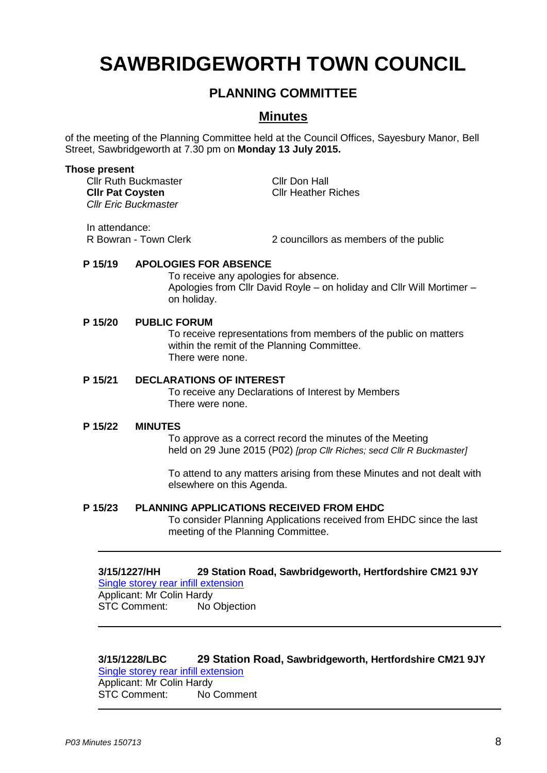# **SAWBRIDGEWORTH TOWN COUNCIL**

# **PLANNING COMMITTEE**

# **Minutes**

of the meeting of the Planning Committee held at the Council Offices, Sayesbury Manor, Bell Street, Sawbridgeworth at 7.30 pm on **Monday 13 July 2015.**

#### **Those present**

Cllr Ruth Buckmaster Cllr Don Hall **Cllr Pat Coysten** Cllr Heather Riches *Cllr Eric Buckmaster*

In attendance:

R Bowran - Town Clerk 2 councillors as members of the public

# **P 15/19 APOLOGIES FOR ABSENCE**

To receive any apologies for absence. Apologies from Cllr David Royle – on holiday and Cllr Will Mortimer – on holiday.

# **P 15/20 PUBLIC FORUM**

To receive representations from members of the public on matters within the remit of the Planning Committee. There were none.

# **P 15/21 DECLARATIONS OF INTEREST**

To receive any Declarations of Interest by Members There were none.

#### **P 15/22 MINUTES**

To approve as a correct record the minutes of the Meeting held on 29 June 2015 (P02) *[prop Cllr Riches; secd Cllr R Buckmaster]*

To attend to any matters arising from these Minutes and not dealt with elsewhere on this Agenda.

### **P 15/23 PLANNING APPLICATIONS RECEIVED FROM EHDC**

To consider Planning Applications received from EHDC since the last meeting of the Planning Committee.

#### **3/15/1227/HH 29 Station Road, Sawbridgeworth, Hertfordshire CM21 9JY** [Single storey rear infill extension](https://publicaccess.eastherts.gov.uk/online-applications/applicationDetails.do?activeTab=summary&keyVal=NPQHP5GLGCZ00)

Applicant: Mr Colin Hardy STC Comment: No Objection

# **3/15/1228/LBC 29 Station Road, Sawbridgeworth, Hertfordshire CM21 9JY**

[Single storey rear infill extension](https://publicaccess.eastherts.gov.uk/online-applications/applicationDetails.do?activeTab=summary&keyVal=NPQHP7GLGD000)  Applicant: Mr Colin Hardy STC Comment: No Comment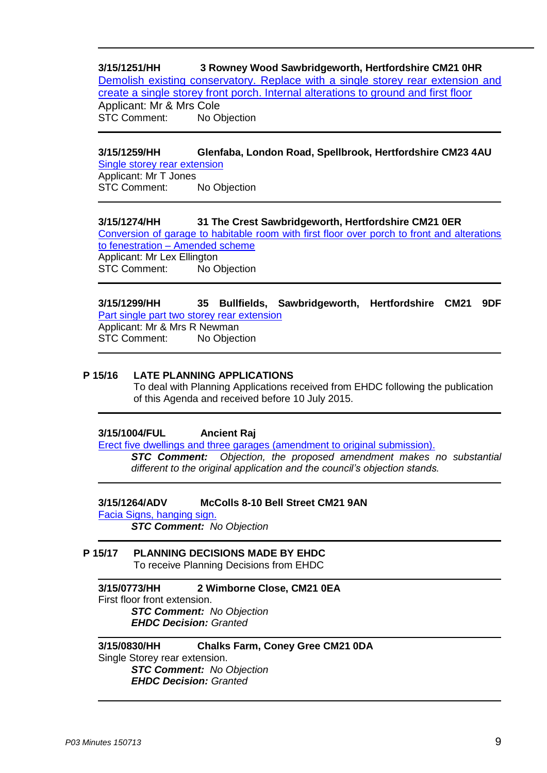**3/15/1251/HH 3 Rowney Wood Sawbridgeworth, Hertfordshire CM21 0HR** Demolish existing conservatory. [Replace with a single storey rear extension and](https://publicaccess.eastherts.gov.uk/online-applications/applicationDetails.do?activeTab=summary&keyVal=NPZ4SFGLGE200)  [create a single storey front porch. Internal alterations to ground and first floor](https://publicaccess.eastherts.gov.uk/online-applications/applicationDetails.do?activeTab=summary&keyVal=NPZ4SFGLGE200) Applicant: Mr & Mrs Cole STC Comment: No Objection

# **3/15/1259/HH Glenfaba, London Road, Spellbrook, Hertfordshire CM23 4AU**

[Single storey rear extension](https://publicaccess.eastherts.gov.uk/online-applications/applicationDetails.do?activeTab=summary&keyVal=NPZIP2GL00X00) Applicant: Mr T Jones STC Comment: No Objection

# **3/15/1274/HH 31 The Crest Sawbridgeworth, Hertfordshire CM21 0ER**

[Conversion of garage to habitable room with first floor over porch to front and alterations](https://publicaccess.eastherts.gov.uk/online-applications/applicationDetails.do?activeTab=summary&keyVal=NQ1LRCGLGES00)  to fenestration – [Amended scheme](https://publicaccess.eastherts.gov.uk/online-applications/applicationDetails.do?activeTab=summary&keyVal=NQ1LRCGLGES00) Applicant: Mr Lex Ellington

STC Comment: No Objection

#### **3/15/1299/HH 35 Bullfields, Sawbridgeworth, Hertfordshire CM21 9DF** [Part single part two storey rear extension](https://publicaccess.eastherts.gov.uk/online-applications/applicationDetails.do?activeTab=summary&keyVal=NQ6UL2GLGFJ00) Applicant: Mr & Mrs R Newman STC Comment: No Objection

# **P 15/16 LATE PLANNING APPLICATIONS**

To deal with Planning Applications received from EHDC following the publication of this Agenda and received before 10 July 2015.

# **3/15/1004/FUL Ancient Raj**

Erect five dwellings and three garages (amendment to original submission).

*STC Comment: Objection, the proposed amendment makes no substantial different to the original application and the council's objection stands.*

#### **3/15/1264/ADV McColls 8-10 Bell Street CM21 9AN**

Facia Signs, hanging sign.

*STC Comment: No Objection*

#### **P 15/17 PLANNING DECISIONS MADE BY EHDC** To receive Planning Decisions from EHDC

# **3/15/0773/HH 2 Wimborne Close, CM21 0EA** First floor front extension. *STC Comment: No Objection EHDC Decision: Granted*

#### **3/15/0830/HH Chalks Farm, Coney Gree CM21 0DA** Single Storey rear extension. *STC Comment: No Objection EHDC Decision: Granted*

*P03 Minutes 150713* 9